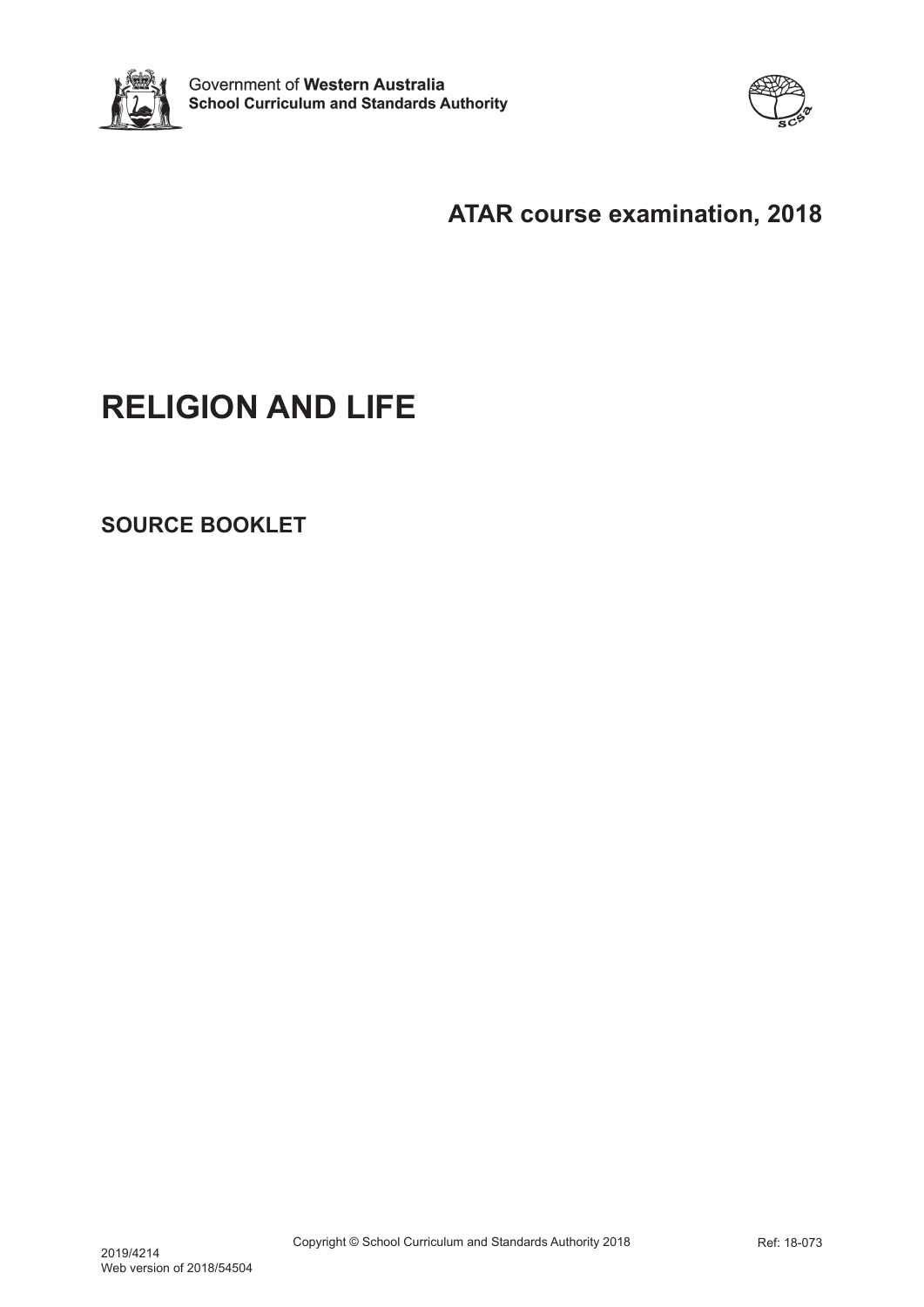



# **ATAR course examination, 2018**

# **RELIGION AND LIFE**

**SOURCE BOOKLET**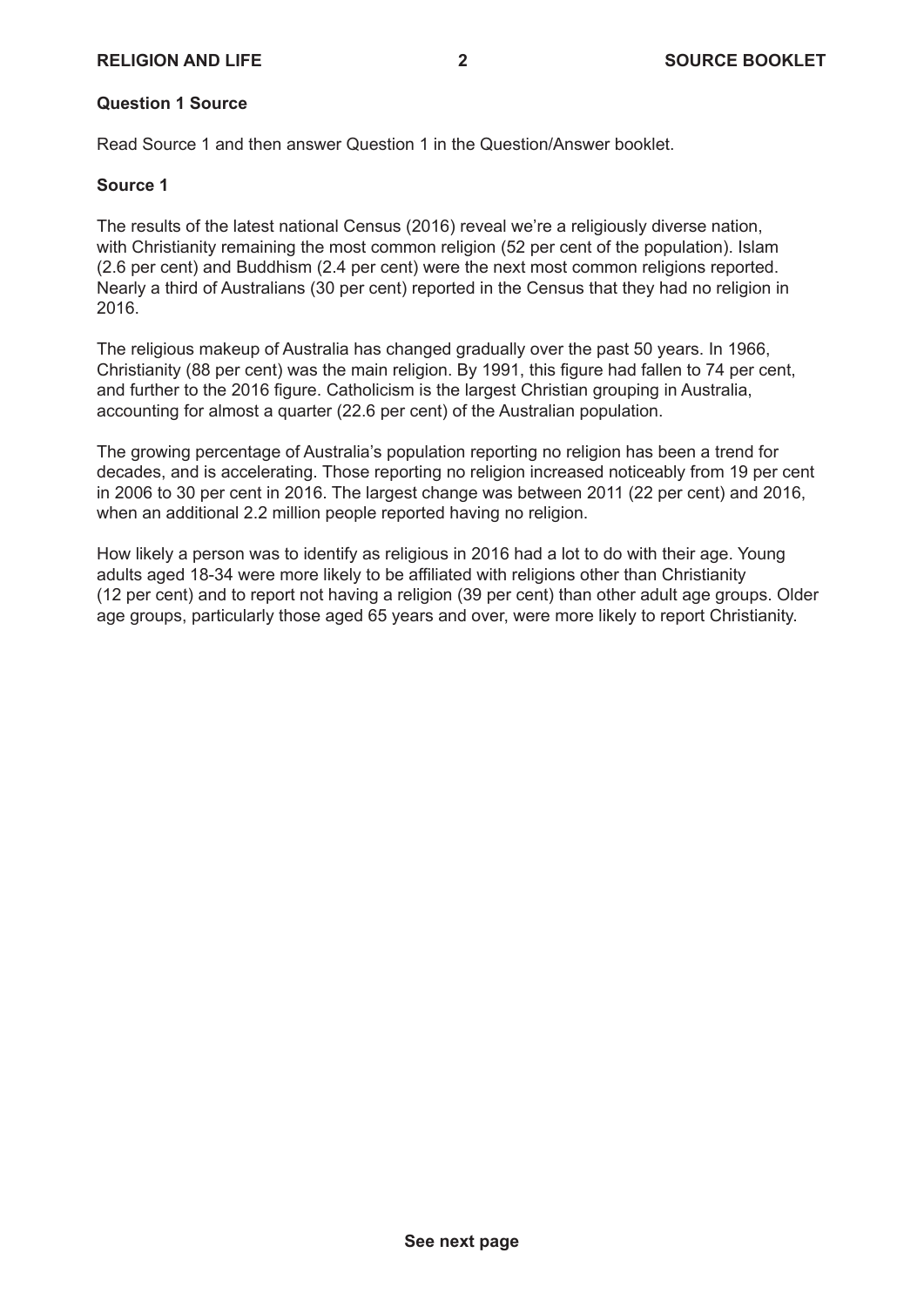# **RELIGION AND LIFE 2 SOURCE BOOKLET**

#### **Question 1 Source**

Read Source 1 and then answer Question 1 in the Question/Answer booklet.

#### **Source 1**

The results of the latest national Census (2016) reveal we're a religiously diverse nation, with Christianity remaining the most common religion (52 per cent of the population). Islam (2.6 per cent) and Buddhism (2.4 per cent) were the next most common religions reported. Nearly a third of Australians (30 per cent) reported in the Census that they had no religion in 2016.

The religious makeup of Australia has changed gradually over the past 50 years. In 1966, Christianity (88 per cent) was the main religion. By 1991, this figure had fallen to 74 per cent. and further to the 2016 figure. Catholicism is the largest Christian grouping in Australia, accounting for almost a quarter (22.6 per cent) of the Australian population.

The growing percentage of Australia's population reporting no religion has been a trend for decades, and is accelerating. Those reporting no religion increased noticeably from 19 per cent in 2006 to 30 per cent in 2016. The largest change was between 2011 (22 per cent) and 2016, when an additional 2.2 million people reported having no religion.

How likely a person was to identify as religious in 2016 had a lot to do with their age. Young adults aged 18-34 were more likely to be affiliated with religions other than Christianity (12 per cent) and to report not having a religion (39 per cent) than other adult age groups. Older age groups, particularly those aged 65 years and over, were more likely to report Christianity.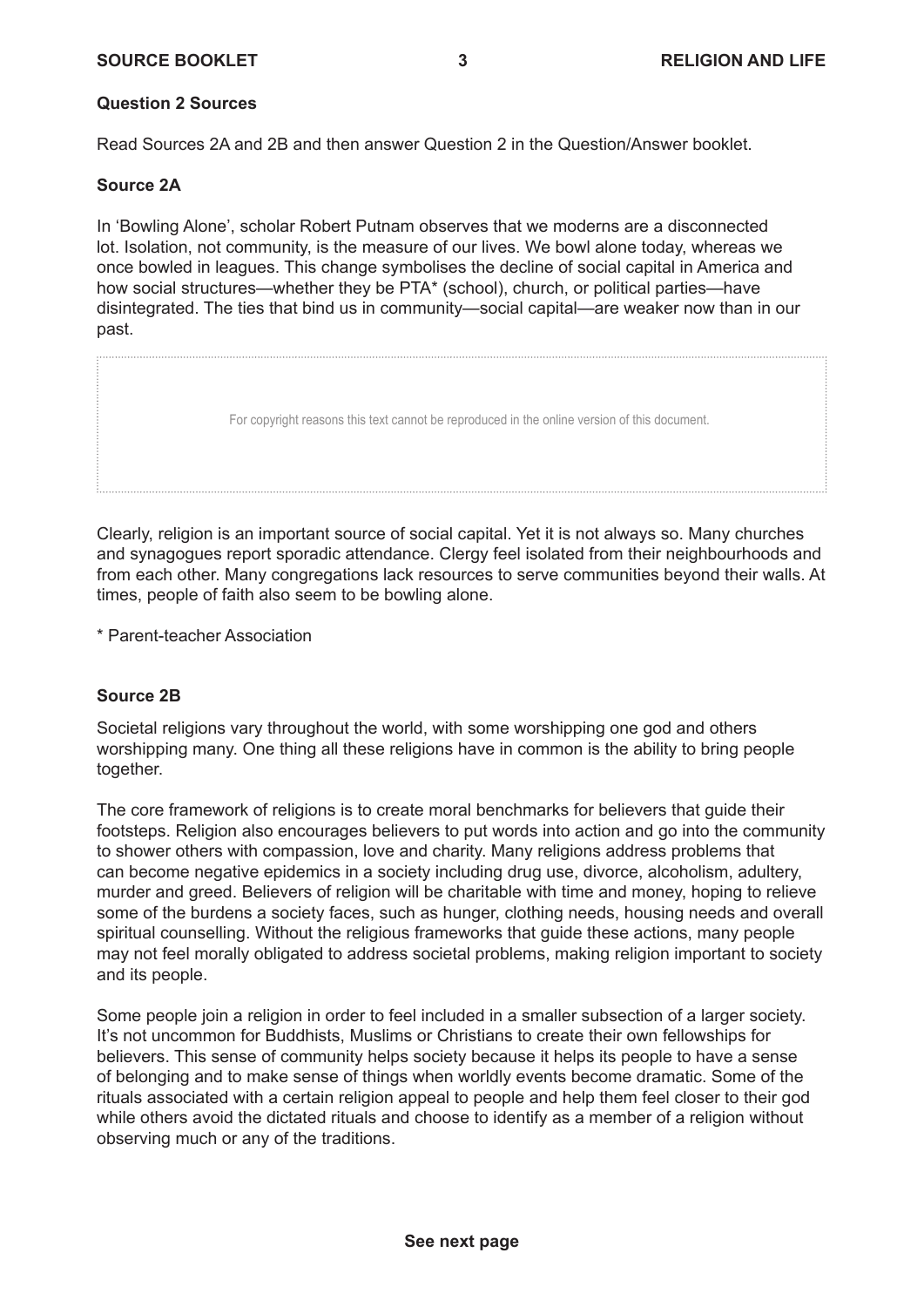## **Question 2 Sources**

Read Sources 2A and 2B and then answer Question 2 in the Question/Answer booklet.

#### **Source 2A**

In 'Bowling Alone', scholar Robert Putnam observes that we moderns are a disconnected lot. Isolation, not community, is the measure of our lives. We bowl alone today, whereas we once bowled in leagues. This change symbolises the decline of social capital in America and how social structures—whether they be PTA\* (school), church, or political parties—have disintegrated. The ties that bind us in community—social capital—are weaker now than in our past.

For copyright reasons this text cannot be reproduced in the online version of this document.

Clearly, religion is an important source of social capital. Yet it is not always so. Many churches and synagogues report sporadic attendance. Clergy feel isolated from their neighbourhoods and from each other. Many congregations lack resources to serve communities beyond their walls. At times, people of faith also seem to be bowling alone.

\* Parent-teacher Association

# **Source 2B**

Societal religions vary throughout the world, with some worshipping one god and others worshipping many. One thing all these religions have in common is the ability to bring people together.

The core framework of religions is to create moral benchmarks for believers that guide their footsteps. Religion also encourages believers to put words into action and go into the community to shower others with compassion, love and charity. Many religions address problems that can become negative epidemics in a society including drug use, divorce, alcoholism, adultery, murder and greed. Believers of religion will be charitable with time and money, hoping to relieve some of the burdens a society faces, such as hunger, clothing needs, housing needs and overall spiritual counselling. Without the religious frameworks that guide these actions, many people may not feel morally obligated to address societal problems, making religion important to society and its people.

Some people join a religion in order to feel included in a smaller subsection of a larger society. It's not uncommon for Buddhists, Muslims or Christians to create their own fellowships for believers. This sense of community helps society because it helps its people to have a sense of belonging and to make sense of things when worldly events become dramatic. Some of the rituals associated with a certain religion appeal to people and help them feel closer to their god while others avoid the dictated rituals and choose to identify as a member of a religion without observing much or any of the traditions.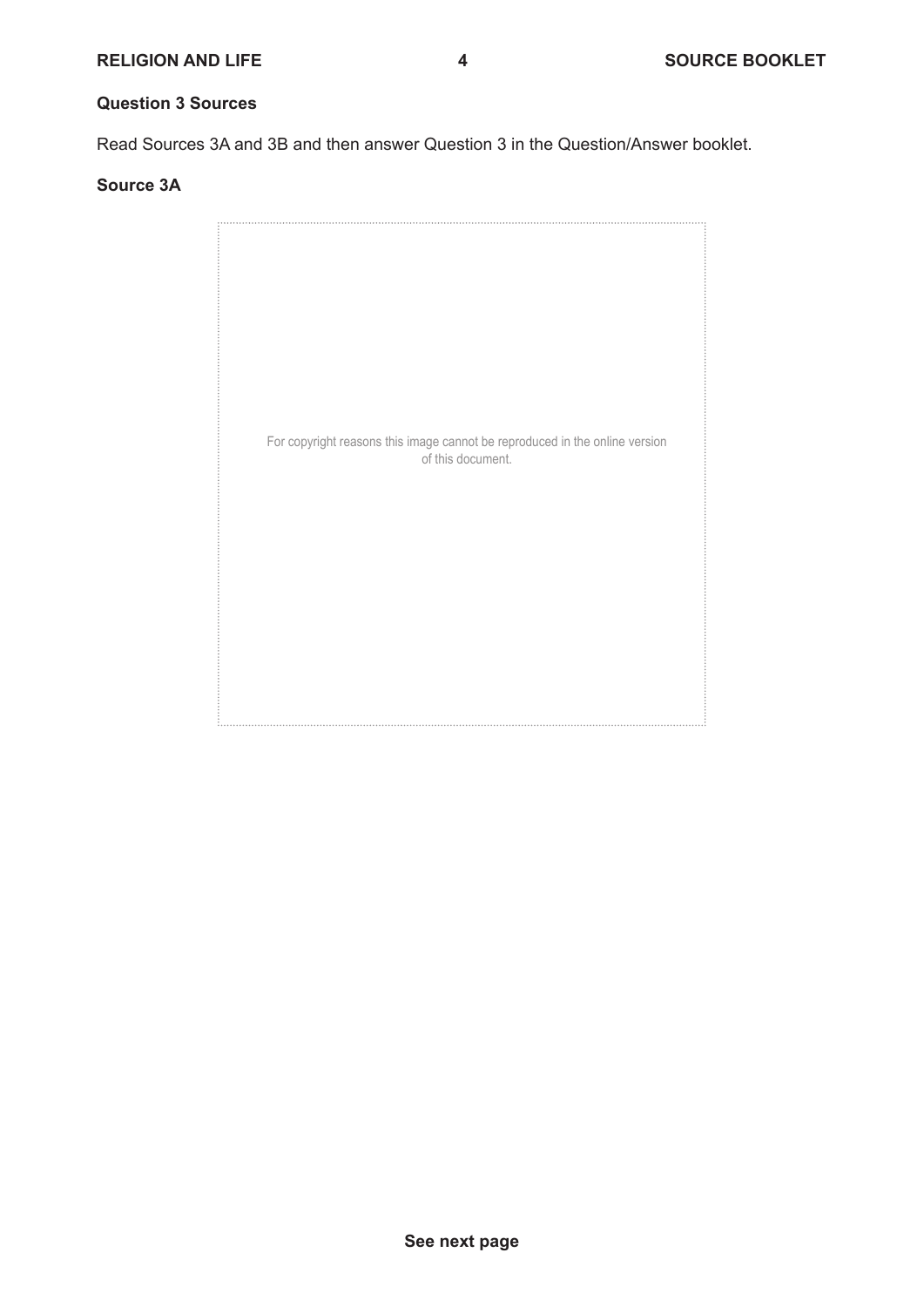# **Question 3 Sources**

Read Sources 3A and 3B and then answer Question 3 in the Question/Answer booklet.

#### **Source 3A**

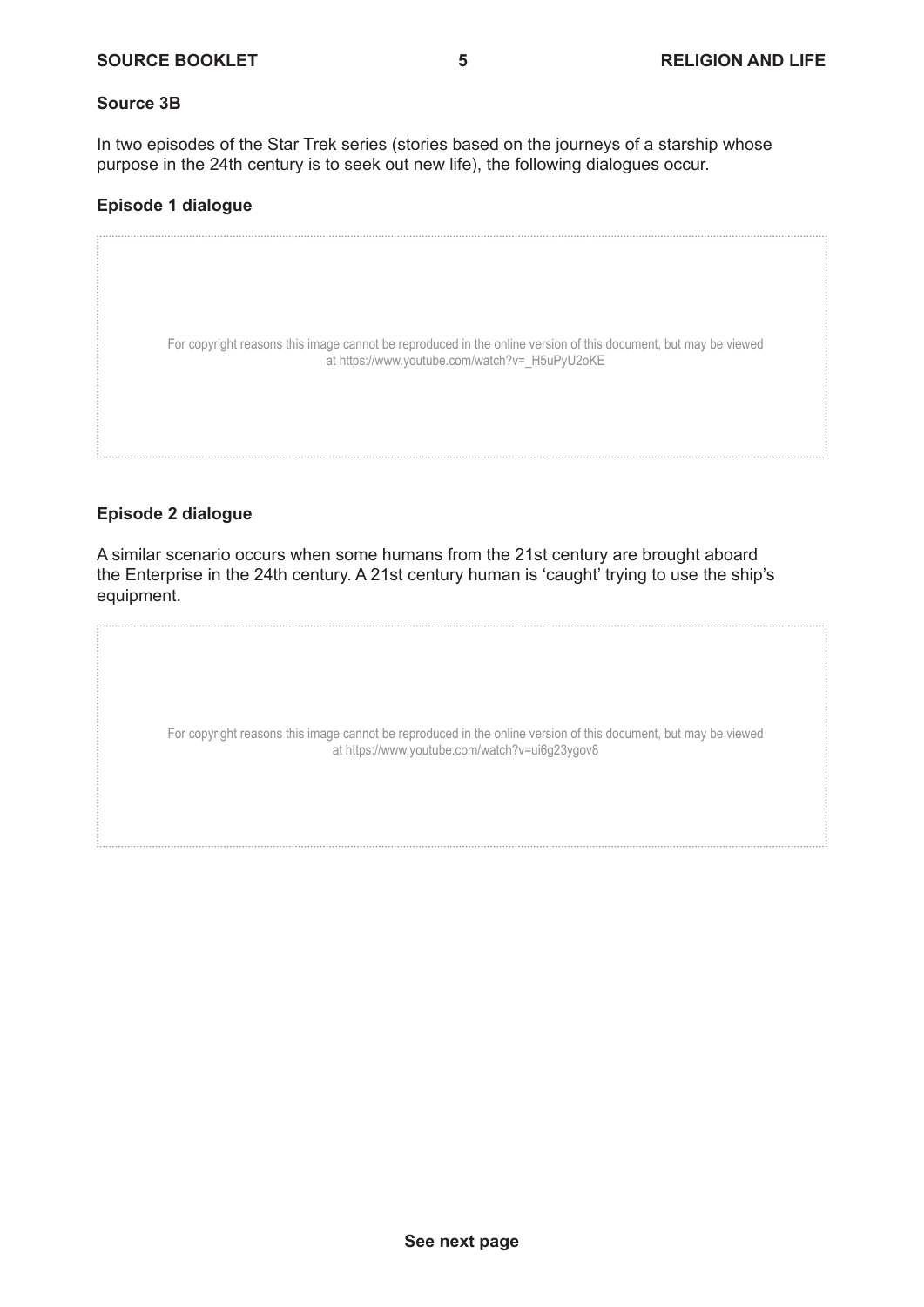## **Source 3B**

In two episodes of the Star Trek series (stories based on the journeys of a starship whose purpose in the 24th century is to seek out new life), the following dialogues occur.

# **Episode 1 dialogue**

For copyright reasons this image cannot be reproduced in the online version of this document, but may be viewed at https://www.youtube.com/watch?v= H5uPyU2oKE

# **Episode 2 dialogue**

A similar scenario occurs when some humans from the 21st century are brought aboard the Enterprise in the 24th century. A 21st century human is 'caught' trying to use the ship's equipment.

> For copyright reasons this image cannot be reproduced in the online version of this document, but may be viewed at https://www.youtube.com/watch?v=ui6g23ygov8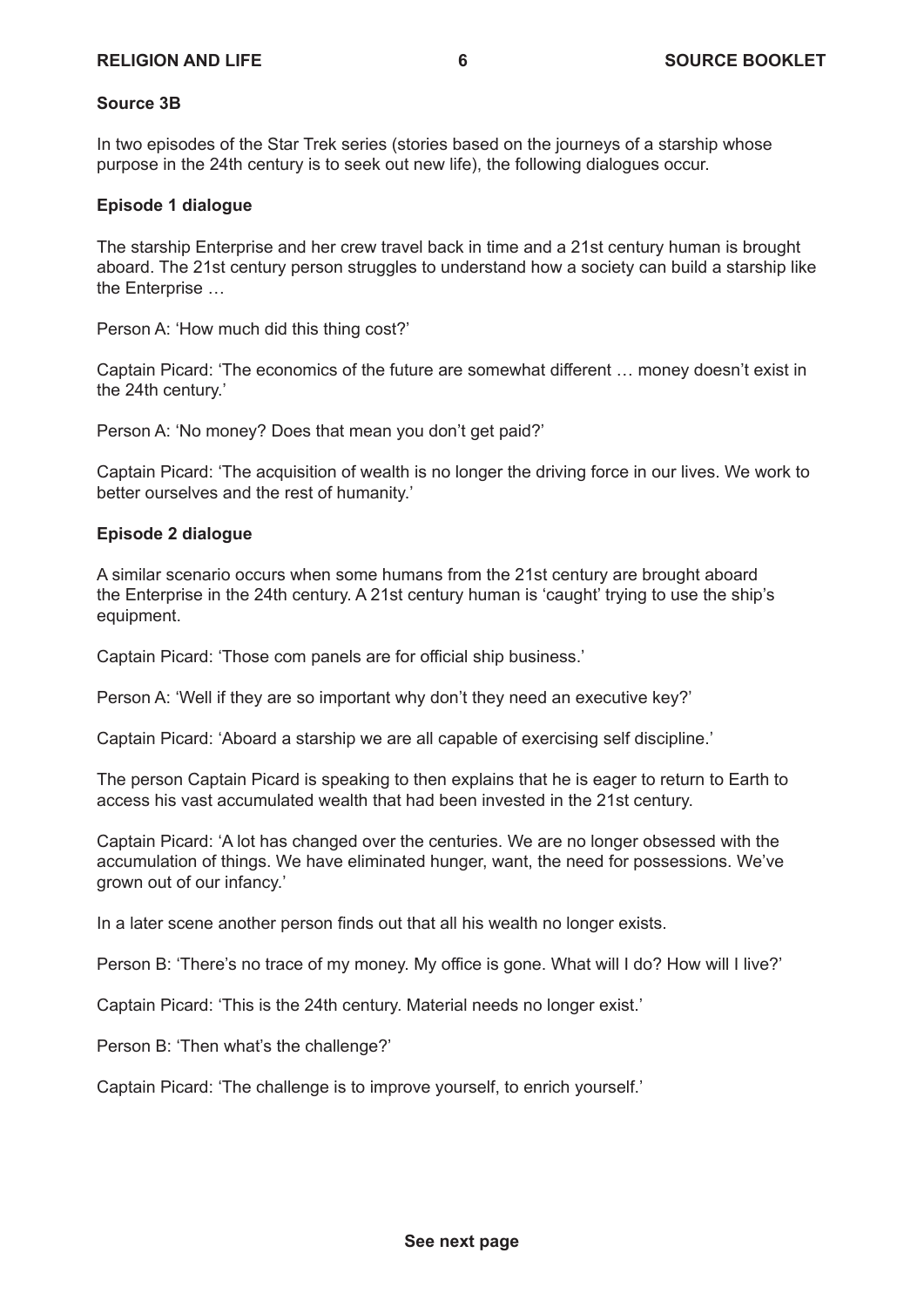#### **Source 3B**

In two episodes of the Star Trek series (stories based on the journeys of a starship whose purpose in the 24th century is to seek out new life), the following dialogues occur.

## **Episode 1 dialogue**

The starship Enterprise and her crew travel back in time and a 21st century human is brought aboard. The 21st century person struggles to understand how a society can build a starship like the Enterprise …

Person A: 'How much did this thing cost?'

Captain Picard: 'The economics of the future are somewhat different … money doesn't exist in the 24th century.'

Person A: 'No money? Does that mean you don't get paid?'

Captain Picard: 'The acquisition of wealth is no longer the driving force in our lives. We work to better ourselves and the rest of humanity.'

#### **Episode 2 dialogue**

A similar scenario occurs when some humans from the 21st century are brought aboard the Enterprise in the 24th century. A 21st century human is 'caught' trying to use the ship's equipment.

Captain Picard: 'Those com panels are for official ship business.'

Person A: 'Well if they are so important why don't they need an executive key?'

Captain Picard: 'Aboard a starship we are all capable of exercising self discipline.'

The person Captain Picard is speaking to then explains that he is eager to return to Earth to access his vast accumulated wealth that had been invested in the 21st century.

Captain Picard: 'A lot has changed over the centuries. We are no longer obsessed with the accumulation of things. We have eliminated hunger, want, the need for possessions. We've grown out of our infancy.'

In a later scene another person finds out that all his wealth no longer exists.

Person B: 'There's no trace of my money. My office is gone. What will I do? How will I live?'

Captain Picard: 'This is the 24th century. Material needs no longer exist.'

Person B: 'Then what's the challenge?'

Captain Picard: 'The challenge is to improve yourself, to enrich yourself.'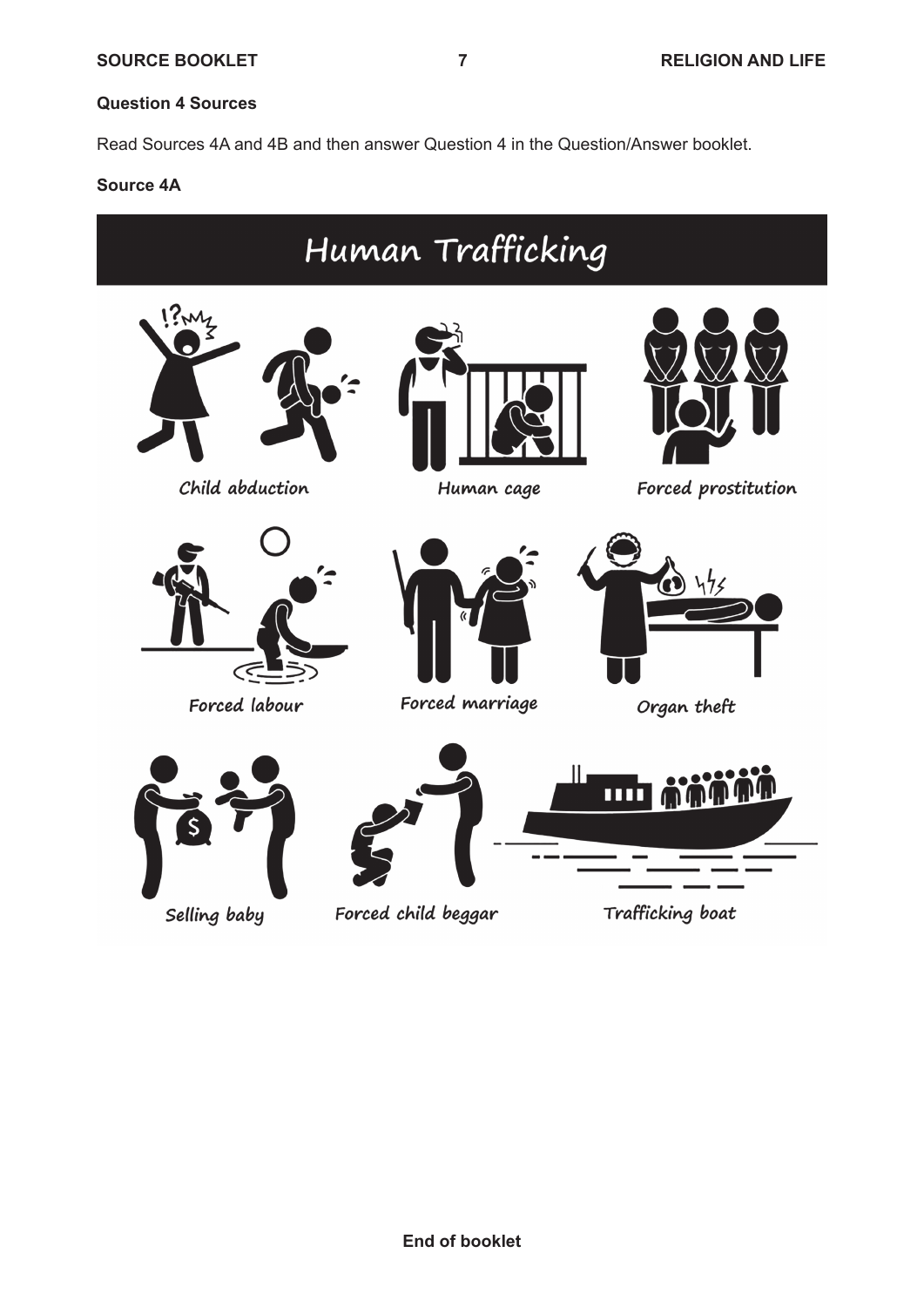# **Question 4 Sources**

Read Sources 4A and 4B and then answer Question 4 in the Question/Answer booklet.

#### **Source 4A**



Selling baby

Forced child beggar

Trafficking boat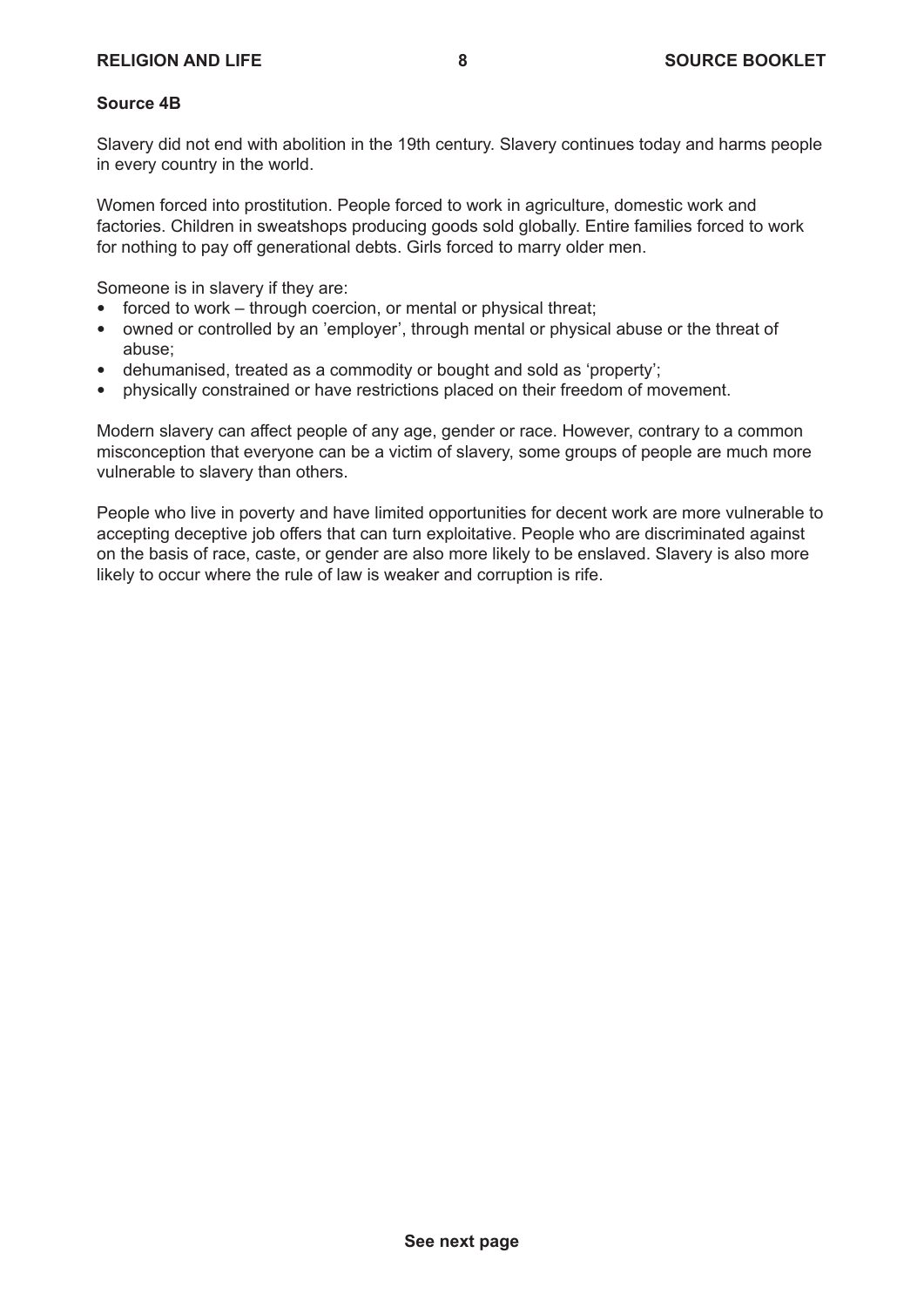# **Source 4B**

Slavery did not end with abolition in the 19th century. Slavery continues today and harms people in every country in the world.

Women forced into prostitution. People forced to work in agriculture, domestic work and factories. Children in sweatshops producing goods sold globally. Entire families forced to work for nothing to pay off generational debts. Girls forced to marry older men.

Someone is in slavery if they are:

- $\bullet$  forced to work through coercion, or mental or physical threat;
- owned or controlled by an 'employer', through mental or physical abuse or the threat of abuse;
- dehumanised, treated as a commodity or bought and sold as 'property';
- physically constrained or have restrictions placed on their freedom of movement.

Modern slavery can affect people of any age, gender or race. However, contrary to a common misconception that everyone can be a victim of slavery, some groups of people are much more vulnerable to slavery than others.

People who live in poverty and have limited opportunities for decent work are more vulnerable to accepting deceptive job offers that can turn exploitative. People who are discriminated against on the basis of race, caste, or gender are also more likely to be enslaved. Slavery is also more likely to occur where the rule of law is weaker and corruption is rife.